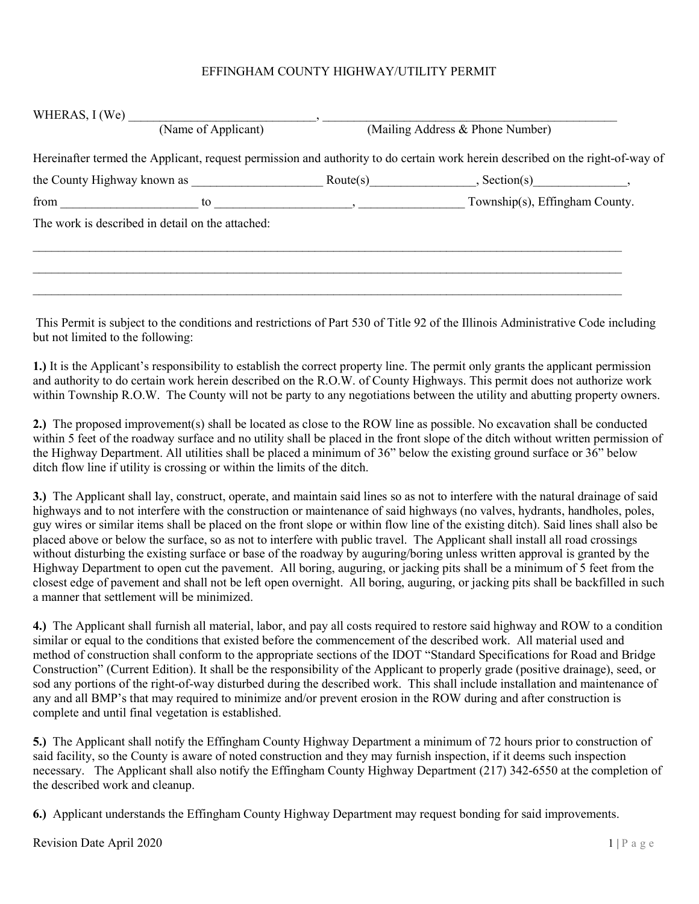## EFFINGHAM COUNTY HIGHWAY/UTILITY PERMIT

| (Name of Applicant) |                                                                                                                               |                                                                                                                                                                                                                                                                                                           | (Mailing Address & Phone Number) |  |  |
|---------------------|-------------------------------------------------------------------------------------------------------------------------------|-----------------------------------------------------------------------------------------------------------------------------------------------------------------------------------------------------------------------------------------------------------------------------------------------------------|----------------------------------|--|--|
|                     | Hereinafter termed the Applicant, request permission and authority to do certain work herein described on the right-of-way of |                                                                                                                                                                                                                                                                                                           |                                  |  |  |
|                     | the County Highway known as                                                                                                   | $\text{Route}(s)$                                                                                                                                                                                                                                                                                         |                                  |  |  |
|                     | from $\qquad \qquad$                                                                                                          | $\frac{1}{2}$ to $\frac{1}{2}$ , $\frac{1}{2}$ , $\frac{1}{2}$ , $\frac{1}{2}$ , $\frac{1}{2}$ , $\frac{1}{2}$ , $\frac{1}{2}$ , $\frac{1}{2}$ , $\frac{1}{2}$ , $\frac{1}{2}$ , $\frac{1}{2}$ , $\frac{1}{2}$ , $\frac{1}{2}$ , $\frac{1}{2}$ , $\frac{1}{2}$ , $\frac{1}{2}$ , $\frac{1}{2}$ , $\frac{$ | Township(s), Effingham County.   |  |  |
|                     | The work is described in detail on the attached:                                                                              |                                                                                                                                                                                                                                                                                                           |                                  |  |  |
|                     |                                                                                                                               |                                                                                                                                                                                                                                                                                                           |                                  |  |  |
|                     |                                                                                                                               |                                                                                                                                                                                                                                                                                                           |                                  |  |  |
|                     |                                                                                                                               |                                                                                                                                                                                                                                                                                                           |                                  |  |  |

This Permit is subject to the conditions and restrictions of Part 530 of Title 92 of the Illinois Administrative Code including but not limited to the following:

1.) It is the Applicant's responsibility to establish the correct property line. The permit only grants the applicant permission and authority to do certain work herein described on the R.O.W. of County Highways. This permit does not authorize work within Township R.O.W. The County will not be party to any negotiations between the utility and abutting property owners.

2.) The proposed improvement(s) shall be located as close to the ROW line as possible. No excavation shall be conducted within 5 feet of the roadway surface and no utility shall be placed in the front slope of the ditch without written permission of the Highway Department. All utilities shall be placed a minimum of 36" below the existing ground surface or 36" below ditch flow line if utility is crossing or within the limits of the ditch.

3.) The Applicant shall lay, construct, operate, and maintain said lines so as not to interfere with the natural drainage of said highways and to not interfere with the construction or maintenance of said highways (no valves, hydrants, handholes, poles, guy wires or similar items shall be placed on the front slope or within flow line of the existing ditch). Said lines shall also be placed above or below the surface, so as not to interfere with public travel. The Applicant shall install all road crossings without disturbing the existing surface or base of the roadway by auguring/boring unless written approval is granted by the Highway Department to open cut the pavement. All boring, auguring, or jacking pits shall be a minimum of 5 feet from the closest edge of pavement and shall not be left open overnight. All boring, auguring, or jacking pits shall be backfilled in such a manner that settlement will be minimized.

4.) The Applicant shall furnish all material, labor, and pay all costs required to restore said highway and ROW to a condition similar or equal to the conditions that existed before the commencement of the described work. All material used and method of construction shall conform to the appropriate sections of the IDOT "Standard Specifications for Road and Bridge Construction" (Current Edition). It shall be the responsibility of the Applicant to properly grade (positive drainage), seed, or sod any portions of the right-of-way disturbed during the described work. This shall include installation and maintenance of any and all BMP's that may required to minimize and/or prevent erosion in the ROW during and after construction is complete and until final vegetation is established.

5.) The Applicant shall notify the Effingham County Highway Department a minimum of 72 hours prior to construction of said facility, so the County is aware of noted construction and they may furnish inspection, if it deems such inspection necessary. The Applicant shall also notify the Effingham County Highway Department (217) 342-6550 at the completion of the described work and cleanup.

6.) Applicant understands the Effingham County Highway Department may request bonding for said improvements.